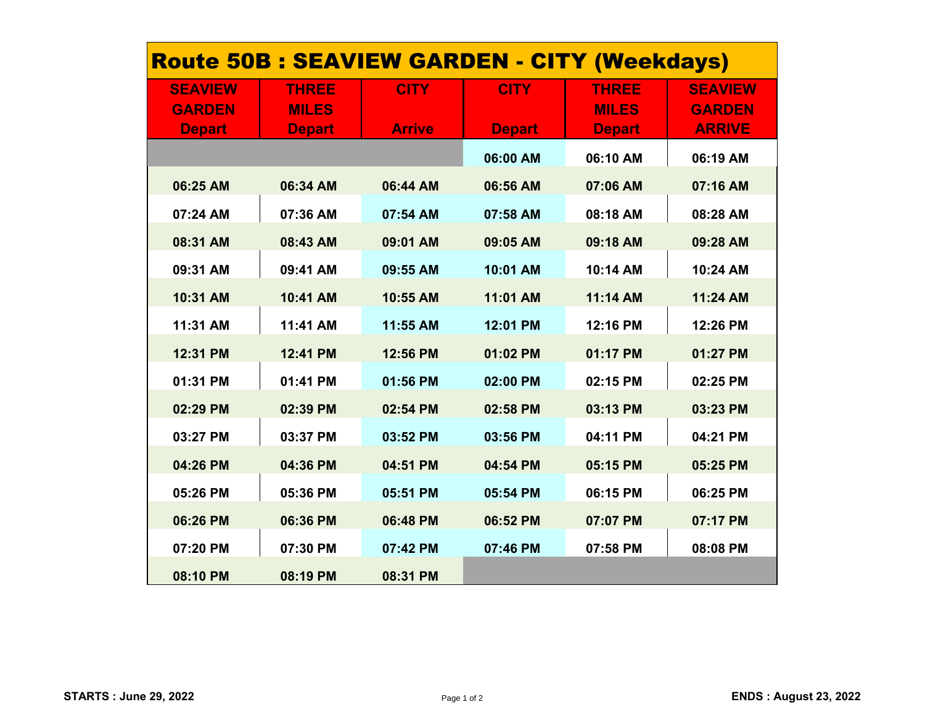| <b>Route 50B : SEAVIEW GARDEN - CITY (Weekdays)</b> |               |               |               |               |                |  |  |  |
|-----------------------------------------------------|---------------|---------------|---------------|---------------|----------------|--|--|--|
| <b>SEAVIEW</b>                                      | <b>THREE</b>  | <b>CITY</b>   | <b>CITY</b>   | <b>THREE</b>  | <b>SEAVIEW</b> |  |  |  |
| <b>GARDEN</b>                                       | <b>MILES</b>  |               |               | <b>MILES</b>  | <b>GARDEN</b>  |  |  |  |
| <b>Depart</b>                                       | <b>Depart</b> | <b>Arrive</b> | <b>Depart</b> | <b>Depart</b> | <b>ARRIVE</b>  |  |  |  |
|                                                     |               |               | 06:00 AM      | 06:10 AM      | 06:19 AM       |  |  |  |
| 06:25 AM                                            | 06:34 AM      | 06:44 AM      | 06:56 AM      | 07:06 AM      | 07:16 AM       |  |  |  |
| 07:24 AM                                            | 07:36 AM      | 07:54 AM      | 07:58 AM      | 08:18 AM      | 08:28 AM       |  |  |  |
| 08:31 AM                                            | 08:43 AM      | 09:01 AM      | 09:05 AM      | 09:18 AM      | 09:28 AM       |  |  |  |
| 09:31 AM                                            | 09:41 AM      | 09:55 AM      | 10:01 AM      | 10:14 AM      | 10:24 AM       |  |  |  |
| 10:31 AM                                            | 10:41 AM      | 10:55 AM      | 11:01 AM      | 11:14 AM      | 11:24 AM       |  |  |  |
| 11:31 AM                                            | 11:41 AM      | 11:55 AM      | 12:01 PM      | 12:16 PM      | 12:26 PM       |  |  |  |
| 12:31 PM                                            | 12:41 PM      | 12:56 PM      | 01:02 PM      | 01:17 PM      | 01:27 PM       |  |  |  |
| 01:31 PM                                            | 01:41 PM      | 01:56 PM      | 02:00 PM      | 02:15 PM      | 02:25 PM       |  |  |  |
| 02:29 PM                                            | 02:39 PM      | 02:54 PM      | 02:58 PM      | 03:13 PM      | 03:23 PM       |  |  |  |
| 03:27 PM                                            | 03:37 PM      | 03:52 PM      | 03:56 PM      | 04:11 PM      | 04:21 PM       |  |  |  |
| 04:26 PM                                            | 04:36 PM      | 04:51 PM      | 04:54 PM      | 05:15 PM      | 05:25 PM       |  |  |  |
| 05:26 PM                                            | 05:36 PM      | 05:51 PM      | 05:54 PM      | 06:15 PM      | 06:25 PM       |  |  |  |
| 06:26 PM                                            | 06:36 PM      | 06:48 PM      | 06:52 PM      | 07:07 PM      | 07:17 PM       |  |  |  |
| 07:20 PM                                            | 07:30 PM      | 07:42 PM      | 07:46 PM      | 07:58 PM      | 08:08 PM       |  |  |  |
| 08:10 PM                                            | 08:19 PM      | 08:31 PM      |               |               |                |  |  |  |